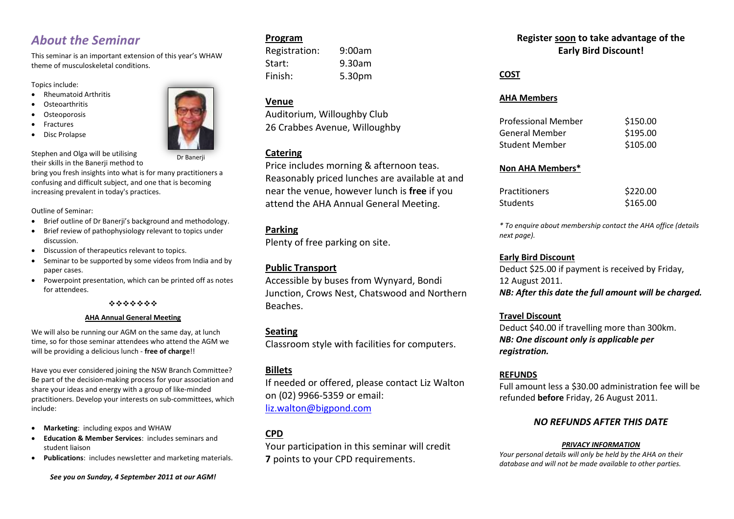## *About the Seminar*

This seminar is an important extension of this year's WHAW theme of musculoskeletal conditions.

Topics include:

- Rheumatoid Arthritis
- **Osteoarthritis**
- **Osteoporosis**
- Fractures
- Disc Prolapse



Stephen and Olga will be utilising their skills in the Banerii method to

Dr Banerji

bring you fresh insights into what is for many practitioners a confusing and difficult subject, and one that is becoming increasing prevalent in today's practices.

Outline of Seminar:

- Brief outline of Dr Banerii's background and methodology.
- Brief review of pathophysiology relevant to topics under discussion.
- Discussion of therapeutics relevant to topics.
- Seminar to be supported by some videos from India and by paper cases.
- Powerpoint presentation, which can be printed off as notes for attendees.

\*\*\*\*\*\*\*

#### **AHA Annual General Meeting**

We will also be running our AGM on the same day, at lunch time, so for those seminar attendees who attend the AGM we will be providing a delicious lunch - **free of charge**!!

Have you ever considered joining the NSW Branch Committee? Be part of the decision-making process for your association and share your ideas and energy with a group of like-minded practitioners. Develop your interests on sub-committees, which include:

- **Marketing**: including expos and WHAW
- **Education & Member Services**: includes seminars and student liaison
- **Publications**: includes newsletter and marketing materials.

*See you on Sunday, 4 September 2011 at our AGM!*

#### **Program**

Registration: 9:00am Start: 9.30am Finish: 5.30pm

#### **Venue**

Auditorium, Willoughby Club 26 Crabbes Avenue, Willoughby

#### **Catering**

Price includes morning & afternoon teas. Reasonably priced lunches are available at and near the venue, however lunch is **free** if you attend the AHA Annual General Meeting.

### **Parking**

Plenty of free parking on site.

#### **Public Transport**

Accessible by buses from Wynyard, Bondi Junction, Crows Nest, Chatswood and Northern Beaches.

#### **Seating**

Classroom style with facilities for computers.

#### **Billets**

If needed or offered, please contact Liz Walton on (02) 9966-5359 or email: [liz.walton@bigpond.com](mailto:liz.walton@bigpond.com)

## **CPD**

Your participation in this seminar will credit **7** points to your CPD requirements.

### **Register soon to take advantage of the Early Bird Discount!**

**COST**

#### **AHA Members**

| <b>Professional Member</b> | \$150.00 |
|----------------------------|----------|
| General Member             | \$195.00 |
| Student Member             | \$105.00 |

#### **Non AHA Members\***

| <b>Practitioners</b> | \$220.00 |
|----------------------|----------|
| <b>Students</b>      | \$165.00 |

*\* To enquire about membership contact the AHA office (details next page).*

#### **Early Bird Discount**

Deduct \$25.00 if payment is received by Friday, 12 August 2011. *NB: After this date the full amount will be charged.*

#### **Travel Discount**

Deduct \$40.00 if travelling more than 300km. *NB: One discount only is applicable per registration.*

#### **REFUNDS**

Full amount less a \$30.00 administration fee will be refunded **before** Friday, 26 August 2011.

#### *NO REFUNDS AFTER THIS DATE*

#### *PRIVACY INFORMATION*

*Your personal details will only be held by the AHA on their database and will not be made available to other parties.*